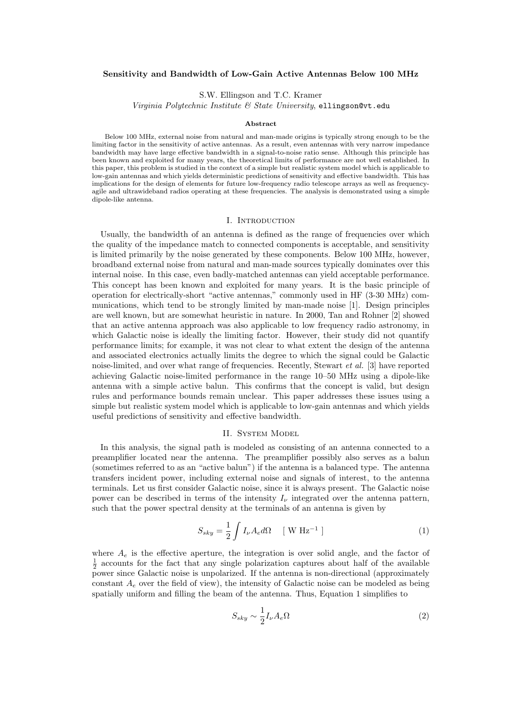# **Sensitivity and Bandwidth of Low-Gain Active Antennas Below 100 MHz**

S.W. Ellingson and T.C. Kramer

*Virginia Polytechnic Institute & State University*, ellingson@vt.edu

#### **Abstract**

Below 100 MHz, external noise from natural and man-made origins is typically strong enough to be the limiting factor in the sensitivity of active antennas. As a result, even antennas with very narrow impedance bandwidth may have large effective bandwidth in a signal-to-noise ratio sense. Although this principle has been known and exploited for many years, the theoretical limits of performance are not well established. In this paper, this problem is studied in the context of a simple but realistic system model which is applicable to low-gain antennas and which yields deterministic predictions of sensitivity and effective bandwidth. This has implications for the design of elements for future low-frequency radio telescope arrays as well as frequencyagile and ultrawideband radios operating at these frequencies. The analysis is demonstrated using a simple dipole-like antenna.

### I. Introduction

Usually, the bandwidth of an antenna is defined as the range of frequencies over which the quality of the impedance match to connected components is acceptable, and sensitivity is limited primarily by the noise generated by these components. Below 100 MHz, however, broadband external noise from natural and man-made sources typically dominates over this internal noise. In this case, even badly-matched antennas can yield acceptable performance. This concept has been known and exploited for many years. It is the basic principle of operation for electrically-short "active antennas," commonly used in HF (3-30 MHz) communications, which tend to be strongly limited by man-made noise [1]. Design principles are well known, but are somewhat heuristic in nature. In 2000, Tan and Rohner [2] showed that an active antenna approach was also applicable to low frequency radio astronomy, in which Galactic noise is ideally the limiting factor. However, their study did not quantify performance limits; for example, it was not clear to what extent the design of the antenna and associated electronics actually limits the degree to which the signal could be Galactic noise-limited, and over what range of frequencies. Recently, Stewart *et al.* [3] have reported achieving Galactic noise-limited performance in the range 10–50 MHz using a dipole-like antenna with a simple active balun. This confirms that the concept is valid, but design rules and performance bounds remain unclear. This paper addresses these issues using a simple but realistic system model which is applicable to low-gain antennas and which yields useful predictions of sensitivity and effective bandwidth.

# II. System Model

In this analysis, the signal path is modeled as consisting of an antenna connected to a preamplifier located near the antenna. The preamplifier possibly also serves as a balun (sometimes referred to as an "active balun") if the antenna is a balanced type. The antenna transfers incident power, including external noise and signals of interest, to the antenna terminals. Let us first consider Galactic noise, since it is always present. The Galactic noise power can be described in terms of the intensity  $I_{\nu}$  integrated over the antenna pattern, such that the power spectral density at the terminals of an antenna is given by

$$
S_{sky} = \frac{1}{2} \int I_{\nu} A_{e} d\Omega \quad [\text{ W Hz}^{-1}]
$$
 (1)

where  $A_e$  is the effective aperture, the integration is over solid angle, and the factor of  $\frac{1}{2}$  accounts for the fact that any single polarization captures about half of the available power since Galactic noise is unpolarized. If the antenna is non-directional (approximately constant  $A<sub>e</sub>$  over the field of view), the intensity of Galactic noise can be modeled as being spatially uniform and filling the beam of the antenna. Thus, Equation 1 simplifies to

$$
S_{sky} \sim \frac{1}{2} I_{\nu} A_{e} \Omega \tag{2}
$$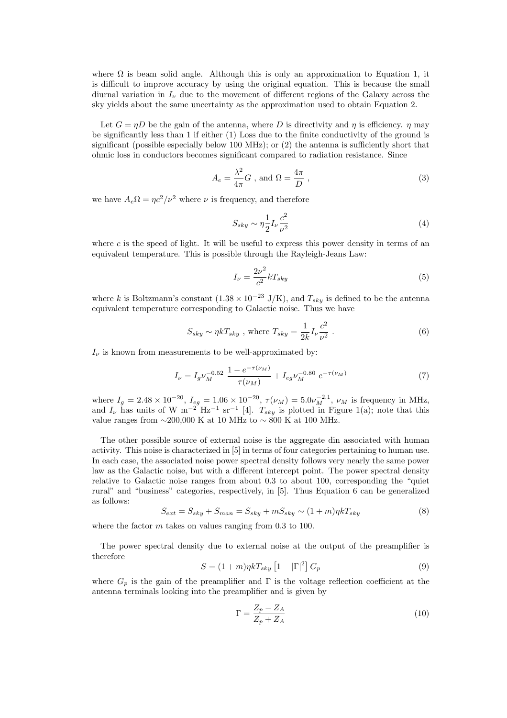where  $\Omega$  is beam solid angle. Although this is only an approximation to Equation 1, it is difficult to improve accuracy by using the original equation. This is because the small diurnal variation in  $I_{\nu}$  due to the movement of different regions of the Galaxy across the sky yields about the same uncertainty as the approximation used to obtain Equation 2.

Let  $G = nD$  be the gain of the antenna, where D is directivity and n is efficiency. n may be significantly less than 1 if either (1) Loss due to the finite conductivity of the ground is significant (possible especially below 100 MHz); or (2) the antenna is sufficiently short that ohmic loss in conductors becomes significant compared to radiation resistance. Since

$$
A_e = \frac{\lambda^2}{4\pi} G \text{ , and } \Omega = \frac{4\pi}{D} \text{ ,}
$$
 (3)

we have  $A_e\Omega = \eta c^2/\nu^2$  where  $\nu$  is frequency, and therefore

$$
S_{sky} \sim \eta \frac{1}{2} I_{\nu} \frac{c^2}{\nu^2} \tag{4}
$$

where c is the speed of light. It will be useful to express this power density in terms of an equivalent temperature. This is possible through the Rayleigh-Jeans Law:

$$
I_{\nu} = \frac{2\nu^2}{c^2} k T_{sky} \tag{5}
$$

where k is Boltzmann's constant  $(1.38 \times 10^{-23} \text{ J/K})$ , and  $T_{sky}$  is defined to be the antenna equivalent temperature corresponding to Galactic noise. Thus we have

$$
S_{sky} \sim \eta k T_{sky} \text{ , where } T_{sky} = \frac{1}{2k} I_{\nu} \frac{c^2}{\nu^2} \text{ .}
$$
 (6)

 $I_{\nu}$  is known from measurements to be well-approximated by:

$$
I_{\nu} = I_g \nu_M^{-0.52} \frac{1 - e^{-\tau(\nu_M)}}{\tau(\nu_M)} + I_{eg} \nu_M^{-0.80} e^{-\tau(\nu_M)}
$$
(7)

where  $I_g = 2.48 \times 10^{-20}$ ,  $I_{eg} = 1.06 \times 10^{-20}$ ,  $\tau(\nu_M) = 5.0 \nu_M^{-2.1}$ ,  $\nu_M$  is frequency in MHz,<br>and I has units of W  $m^{-2}$  Hz<sup>-1</sup> sr<sup>-1</sup> [4] T, is plotted in Figure 1(a); note that this and  $I_{\nu}$  has units of W m<sup>-2</sup> Hz<sup>-1</sup> sr<sup>-1</sup> [4].  $T_{sky}$  is plotted in Figure 1(a); note that this value ranges from  $\sim$ 200,000 K at 10 MHz to  $\sim$  800 K at 100 MHz.

The other possible source of external noise is the aggregate din associated with human activity. This noise is characterized in [5] in terms of four categories pertaining to human use. In each case, the associated noise power spectral density follows very nearly the same power law as the Galactic noise, but with a different intercept point. The power spectral density relative to Galactic noise ranges from about 0.3 to about 100, corresponding the "quiet rural" and "business" categories, respectively, in [5]. Thus Equation 6 can be generalized as follows:

$$
S_{ext} = S_{sky} + S_{man} = S_{sky} + mS_{sky} \sim (1 + m)\eta k T_{sky}
$$
\n
$$
(8)
$$

where the factor  $m$  takes on values ranging from 0.3 to 100.

The power spectral density due to external noise at the output of the preamplifier is therefore

$$
S = (1+m)\eta k T_{sky} \left[1 - |\Gamma|^2\right] G_p \tag{9}
$$

where  $G_p$  is the gain of the preamplifier and  $\Gamma$  is the voltage reflection coefficient at the antenna terminals looking into the preamplifier and is given by

$$
\Gamma = \frac{Z_p - Z_A}{Z_p + Z_A} \tag{10}
$$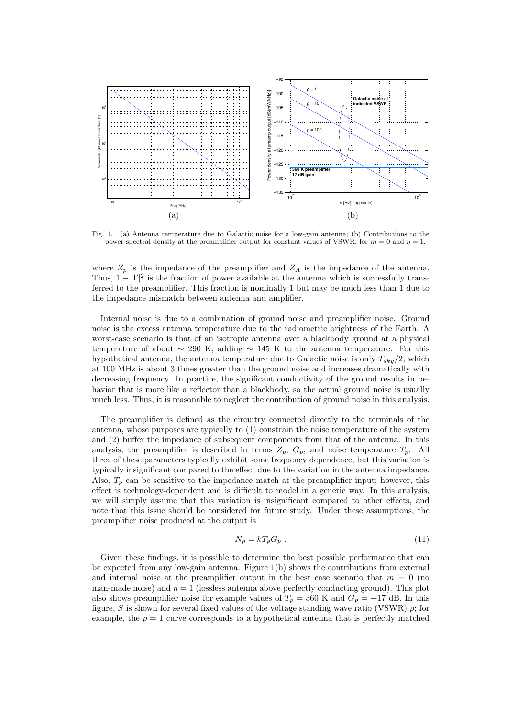

Fig. 1. (a) Antenna temperature due to Galactic noise for a low-gain antenna; (b) Contributions to the power spectral density at the preamplifier output for constant values of VSWR, for  $m = 0$  and  $\eta = 1$ .

where  $Z_p$  is the impedance of the preamplifier and  $Z_A$  is the impedance of the antenna. Thus,  $1 - |\Gamma|^2$  is the fraction of power available at the antenna which is successfully transferred to the preamplifier. This fraction is nominally 1 but may be much less than 1 due to the impedance mismatch between antenna and amplifier.

Internal noise is due to a combination of ground noise and preamplifier noise. Ground noise is the excess antenna temperature due to the radiometric brightness of the Earth. A worst-case scenario is that of an isotropic antenna over a blackbody ground at a physical temperature of about  $\sim$  290 K, adding  $\sim$  145 K to the antenna temperature. For this hypothetical antenna, the antenna temperature due to Galactic noise is only  $T_{sky}/2$ , which at 100 MHz is about 3 times greater than the ground noise and increases dramatically with decreasing frequency. In practice, the significant conductivity of the ground results in behavior that is more like a reflector than a blackbody, so the actual ground noise is usually much less. Thus, it is reasonable to neglect the contribution of ground noise in this analysis.

The preamplifier is defined as the circuitry connected directly to the terminals of the antenna, whose purposes are typically to (1) constrain the noise temperature of the system and (2) buffer the impedance of subsequent components from that of the antenna. In this analysis, the preamplifier is described in terms  $Z_p$ ,  $G_p$ , and noise temperature  $T_p$ . All three of these parameters typically exhibit some frequency dependence, but this variation is typically insignificant compared to the effect due to the variation in the antenna impedance. Also,  $T_p$  can be sensitive to the impedance match at the preamplifier input; however, this effect is technology-dependent and is difficult to model in a generic way. In this analysis, we will simply assume that this variation is insignificant compared to other effects, and note that this issue should be considered for future study. Under these assumptions, the preamplifier noise produced at the output is

$$
N_p = kT_p G_p \tag{11}
$$

Given these findings, it is possible to determine the best possible performance that can be expected from any low-gain antenna. Figure 1(b) shows the contributions from external and internal noise at the preamplifier output in the best case scenario that  $m = 0$  (no man-made noise) and  $\eta = 1$  (lossless antenna above perfectly conducting ground). This plot also shows preamplifier noise for example values of  $T_p = 360$  K and  $G_p = +17$  dB. In this figure, S is shown for several fixed values of the voltage standing wave ratio (VSWR)  $\rho$ ; for example, the  $\rho = 1$  curve corresponds to a hypothetical antenna that is perfectly matched